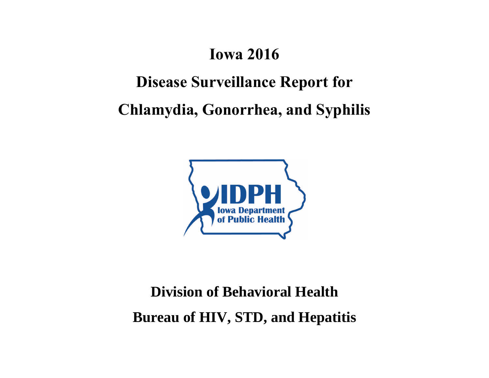### **Iowa 2016**

## **Disease Surveillance Report for**

**Chlamydia, Gonorrhea, and Syphilis**



# **Division of Behavioral Health Bureau of HIV, STD, and Hepatitis**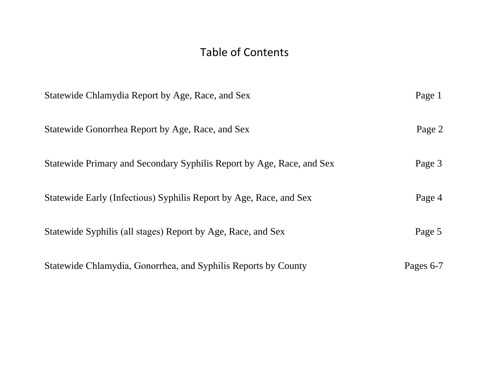#### Table of Contents

| Statewide Chlamydia Report by Age, Race, and Sex                      | Page 1    |
|-----------------------------------------------------------------------|-----------|
| Statewide Gonorrhea Report by Age, Race, and Sex                      | Page 2    |
| Statewide Primary and Secondary Syphilis Report by Age, Race, and Sex | Page 3    |
| Statewide Early (Infectious) Syphilis Report by Age, Race, and Sex    | Page 4    |
| Statewide Syphilis (all stages) Report by Age, Race, and Sex          | Page 5    |
| Statewide Chlamydia, Gonorrhea, and Syphilis Reports by County        | Pages 6-7 |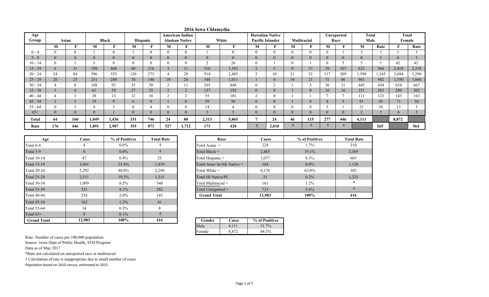| Age       |          |            |          |              |                |          |     | American Indian       |                |       |                           | <b>Hawaiian Native</b>  |                    |          |          | Unreported | Total |       |               | Total |
|-----------|----------|------------|----------|--------------|----------------|----------|-----|-----------------------|----------------|-------|---------------------------|-------------------------|--------------------|----------|----------|------------|-------|-------|---------------|-------|
| Group     |          | Asian      |          | <b>Black</b> |                | Hispanic |     | <b>Alaskan Native</b> |                | White |                           | <b>Pacific Islander</b> | <b>Multiracial</b> |          |          | Race       | Male  |       | Female        |       |
|           | М        |            | M        | m            | M              |          | M   |                       | M              |       | M                         |                         | М                  |          | M        |            | M     | Rate  |               | Rate  |
| $0 - 4$   |          | $\Omega$   |          | $\Omega$     |                | $\Omega$ |     | $\theta$              |                |       | $\theta$                  | $\Omega$                |                    |          | $\Omega$ |            |       |       |               |       |
| $5 - 9$   |          | $\Omega$   | $\theta$ |              | $\overline{0}$ |          |     | $\theta$              | $\overline{0}$ |       | $\overline{0}$            |                         | $\overline{0}$     | $\Omega$ | $\theta$ |            |       |       |               |       |
| $10 - 14$ |          |            |          | 8            | $\mathbf{0}$   | $\Omega$ |     | $\theta$              |                | 26    | $\theta$                  |                         |                    |          | $\Omega$ |            |       |       | 42            | 42    |
| $15 - 19$ | $\sigma$ | 31         | 198      | 468          | 60             | 216      |     | 11                    | 316            | 1,543 | $\Omega$<br>$\mathcal{L}$ |                         | 9                  | 37       | 29       | 107        | 623   | 566   | 2,418         | 2,318 |
| $20 - 24$ | 24       | 84         | 396      | 553          | 120            | 273      |     | 28                    | 914            | 2,485 | $\sim$                    | 10                      | 21                 | 52       | 117      | 209        | 1,598 | 1,345 | 3,694         | 3,290 |
| $25 - 29$ | 20       | 25         | 231      | 249          | 70             | 146      | 10  | 26                    | 548            | 1.011 |                           | $\mathfrak{b}$          | 10                 | 21       | 71       | 66         | 961   | 982   | 1,550         | 1,666 |
| $30 - 34$ |          |            | 108      | 93           | 35             | 58       |     | 11                    | 265            | 448   | $\theta$                  |                         |                    |          | 30       | 31         | 445   | 434   | 654           | 667   |
| $35 - 39$ |          | $\sqrt{2}$ | 61       | 39           | 27             | 25       |     | ∠                     | 137            | 192   | $\overline{0}$            |                         |                    |          | 16       | 16         | 251   | 263   | 280           | 302   |
| $40 - 44$ |          |            | 28       | 13           | 12             | 16       |     | $\sim$<br>∠           | 55             | 101   | $\sim$                    | $\Omega$                |                    |          |          |            | 111   | 123   | 143           | 163   |
| $45 - 54$ |          |            | 19       | 9            | $\mathbf{6}$   |          |     | $\theta$              | 59             | 50    | $\theta$                  |                         |                    | $\theta$ |          |            | 91    | 45    | 71            | 36    |
| $55 - 64$ |          |            |          | $\sim$       | $\theta$       |          |     | $\theta$              | 14             |       | $\Omega$                  | $\Omega$                |                    |          | $\sim$   |            | 21    | 10    | L S           |       |
| $65+$     |          | $\Omega$   | $\Omega$ |              | $\theta$       |          |     | $\theta$              | $\Omega$       |       | $\theta$                  | $\Omega$                | $\Omega$           | $\Omega$ | $\theta$ |            |       |       | $\mathfrak b$ |       |
| Total     | 64       | 160        | 1,049    | 1,436        | 331            | 746      | 24  | 80                    | 2,313          | 5,865 |                           | 24                      | 46                 | 115      | 277      | 446        | 4,111 |       | 8,872         |       |
| Rate      | 176      | 446        | 1,891    | 2,907        | 355            | 873      | 527 | 1,712                 | 173            | 428   |                           | 2,010                   | $\star$            | $\star$  | $\star$  | $\ast$     |       | 265   |               | 564   |

| 2016 Iowa Chlamydia |  |
|---------------------|--|
|---------------------|--|

| Age                | Cases    | % of Positives | <b>Total Rate</b> | Race                      |
|--------------------|----------|----------------|-------------------|---------------------------|
| Total 0-4          | 4        | $0.0\%$        |                   | Total Asian $=$           |
| Total 5-9          | $\theta$ | $0.0\%$        |                   | Total Black $=$           |
| <b>Total 10-14</b> | 47       | $0.4\%$        | 23                | Total Hispanic =          |
| <b>Total 15-19</b> | 3,041    | 23.4%          | 1,419             | Total Amer In/AK Native = |
| <b>Total 20-24</b> | 5,292    | 40.8%          | 2,290             | Total White $=$           |
| <b>Total 25-29</b> | 2,511    | 19.3%          | 1,315             | Total HI Native/PI        |
| <b>Total 30-34</b> | 1,099    | $8.5\%$        | 548               | Total Multiracial $=$     |
| <b>Total 35-39</b> | 531      | 4.1%           | 282               | Total Unreported $=$      |
| <b>Total 40-44</b> | 254      | $2.0\%$        | 143               | <b>Grand Total</b>        |
| <b>Total 45-54</b> | 162      | $1.2\%$        | 41                |                           |
| Total 55-64        | 34       | $0.3\%$        | 8                 |                           |
| Total $65+$        | 8        | $0.1\%$        | ÷                 |                           |
| <b>Grand Total</b> | 12,983   | 100%           | 416               | Gender<br>Cases           |

| ases           | % of Positives | <b>Total Rate</b> | Race                        | <b>Cases</b> | % of Positives | <b>Total Rate</b> |
|----------------|----------------|-------------------|-----------------------------|--------------|----------------|-------------------|
| 4              | $0.0\%$        |                   | Total Asian $=$             | 224          | $1.7\%$        | 310               |
| $\overline{0}$ | $0.0\%$        |                   | Total Black $=$             | 2,485        | 19.1%          | 2,369             |
| 47             | $0.4\%$        | 23                | Total Hispanic =            | 1,077        | 8.3%           | 603               |
| 041            | 23.4%          | 1,419             | Total Amer In/AK Native $=$ | 104          | $0.8\%$        | 1,128             |
| 292            | 40.8%          | 2,290             | Total White $=$             | 8,178        | 63.0%          | 302               |
| 511            | 19.3%          | 1,315             | Total HI Native/PI          | 31           | $0.2\%$        | 1,223             |
| 099            | $8.5\%$        | 548               | Total Multiracial $=$       | 161          | 1.2%           | $\star$           |
| 531            | $4.1\%$        | 282               | Total Unreported $=$        | 723          | $5.6\%$        | $\star$           |
| 254            | $2.0\%$        | 143               | <b>Grand Total</b>          | 12.983       | 100%           | 416               |

| Gender | Cases | % of Positives |
|--------|-------|----------------|
| Male   |       | $31.7\%$       |
| Female |       | 68.3%          |

Rate: Number of cases per 100,000 population.

Source: Iowa Dept of Public Health, STD Program

Data as of May 2017

\*Rate not calculated on unreported race or multiracial

† Calculation of rate is inappropriate due to small number of cases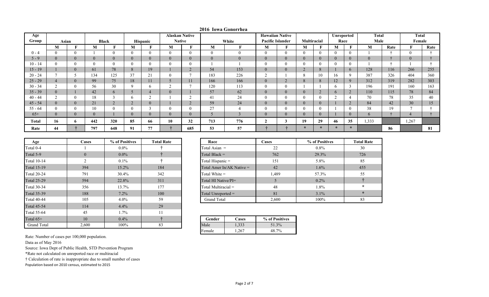| Age       |       |                |                      |                      |              |                | <b>Alaskan Native</b> |          |                |                | <b>Hawaiian Native</b> |   |                |          | Unreported |                          | Total    |      | <b>Total</b>   |      |
|-----------|-------|----------------|----------------------|----------------------|--------------|----------------|-----------------------|----------|----------------|----------------|------------------------|---|----------------|----------|------------|--------------------------|----------|------|----------------|------|
| Group     | Asian |                | <b>Black</b>         |                      |              | Hispanic       | <b>Native</b>         |          |                | White          | Pacific Islander       |   | Multiracial    |          | Race       |                          | Male     |      | Female         |      |
|           | M     |                | М                    | T.                   | M            |                | M                     |          | M              |                | M                      | F | M              | F        | М          | Е                        | M        | Rate | п              | Rate |
| $0 - 4$   |       | $\theta$       |                      | $\theta$             | $\Omega$     | $\Omega$       | $\mathbf{0}$          | $\Omega$ | $\Omega$       | $\theta$       |                        |   | 0              | $\Omega$ |            |                          |          |      | $\theta$       |      |
| $5 - 9$   |       | $\overline{0}$ | $\overline{0}$       | $\overline{0}$       | $\theta$     | $\Omega$       | $\mathbf{0}$          | $\Omega$ | $\overline{0}$ | $\overline{0}$ | $\theta$               |   | $\mathbf{0}$   |          |            |                          | $\theta$ |      | $\overline{0}$ |      |
| $10 - 14$ |       | $\theta$       | $\theta$             | 0                    |              | $\Omega$       | $\theta$              | 0        |                |                |                        |   |                |          |            |                          |          |      |                |      |
| $15 - 19$ |       | $\overline{0}$ | 61                   | 78                   | 8            | 19             |                       |          | 54             | 153            | $\overline{0}$         |   | $\overline{2}$ |          |            | $\mathbf b$              | 128      | 116  | 266            | 255  |
| $20 - 24$ |       |                | 134                  | 125                  | 37           | 21             | $\mathbf{0}$          |          | 183            | 226            | $\sim$<br>∠            |   | 8              | 10       | 16         |                          | 387      | 326  | 404            | 360  |
| $25 - 29$ |       | $\overline{0}$ | 99                   | 75                   | 18           | 11             | $\circ$               | 11       | 166            | 166            | $\overline{0}$         |   | $\Omega$<br>ð. |          | 12         |                          | 312      | 319  | 282            | 303  |
| $30 - 34$ |       | $\theta$       | 56                   | 30                   |              | h              | ∠                     |          | 120            | 113            |                        |   |                |          |            | $\sim$                   | 196      | 191  | 160            | 163  |
| $35 - 39$ |       |                | 42                   | 6                    |              | $\overline{4}$ | $\overline{0}$        |          | 57             | 62             | $\theta$               |   |                |          | b.         | $\angle$                 | 110      | 115  | 78             | 84   |
| $40 - 44$ |       | $\theta$       | 18                   |                      | <sub>b</sub> | $\sim$         |                       |          | 41             | 24             |                        |   |                |          |            |                          | 70       | 78   | 35             | 40   |
| $45 - 54$ |       | $\overline{0}$ | 21                   | $\Omega$<br>$\angle$ | $\angle$     | $\overline{0}$ |                       | $\sim$   | 59             | 24             | $\theta$               |   | $\mathbf{0}$   |          |            | $\sim$<br>$\overline{ }$ | 84       | 42   | 30             | 15   |
| $55 - 64$ |       | $\theta$       | 1 <sub>0</sub><br>ιv | $\theta$             |              |                | $\mathbf{0}$          |          | 27             |                |                        |   |                |          |            |                          | 38       | 19   |                |      |
| $65+$     |       | $\overline{0}$ | $\theta$             |                      | $\Omega$     | $\Omega$       | $\Omega$              | $\Omega$ |                |                | $\theta$               |   | $\mathbf{U}$   |          |            |                          | 6.       |      | 4              |      |
| Total     | 16    | 6              | 442                  | 320                  | 85           | -66            | 10                    | 32       | 713            | 776            |                        |   | 19             | 29       | 46         | 35                       | 1,333    |      | 1,267          |      |
| Rate      | 44    |                | 797                  | 648                  | 91           | 77             |                       | 685      | 53             | 57             |                        |   | $\ast$         | $\star$  | $\ast$     | $\star$                  |          | 86   |                | 81   |

|  | 2016 Iowa Gonorrhea |
|--|---------------------|
|--|---------------------|

| Age                | Cases          | % of Positives | <b>Total Rate</b> | Race                 | Cases                       |  |  |  |  |
|--------------------|----------------|----------------|-------------------|----------------------|-----------------------------|--|--|--|--|
| Total 0-4          |                | $0.0\%$        |                   | Total Asian $=$      |                             |  |  |  |  |
| Total 5-9          | $\overline{0}$ | $0.0\%$        |                   | Total Black $=$      |                             |  |  |  |  |
| <b>Total 10-14</b> | 2              | $0.1\%$        |                   | Total Hispanic =     |                             |  |  |  |  |
| <b>Total 15-19</b> | 394            | 15.2%          | 184               |                      | Total Amer In/AK Native $=$ |  |  |  |  |
| <b>Total 20-24</b> | 791            | 30.4%          | 342               | Total White $=$      |                             |  |  |  |  |
| <b>Total 25-29</b> | 594            | 22.8%          | 311               |                      | Total HI Native/PI=         |  |  |  |  |
| <b>Total 30-34</b> | 356            | 13.7%          | 177               |                      | Total Multiracial =         |  |  |  |  |
| <b>Total 35-39</b> | 188            | $7.2\%$        | 100               | Total Unreported $=$ |                             |  |  |  |  |
| <b>Total 40-44</b> | 105            | $4.0\%$        | 59                | <b>Grand Total</b>   |                             |  |  |  |  |
| <b>Total 45-54</b> | 114            | 4.4%           | 29                |                      |                             |  |  |  |  |
| <b>Total 55-64</b> | 45             | $1.7\%$        | 11                |                      |                             |  |  |  |  |
| Total $65+$        | 10             | $0.4\%$        |                   | Gender               | $%$ of                      |  |  |  |  |
| <b>Grand Total</b> | 2,600          | 100%           | 83                | Male                 | 1,333                       |  |  |  |  |

| Race                        | Cases | % of Positives | <b>Total Rate</b> |
|-----------------------------|-------|----------------|-------------------|
| Total Asian $=$             | 22    | $0.8\%$        | 30                |
| Total Black $=$             | 762   | 29.3%          | 726               |
| Total Hispanic =            | 151   | 5.8%           | 85                |
| Total Amer In/AK Native $=$ | 42    | $1.6\%$        | 455               |
| Total White $=$             | 1,489 | 57.3%          | 55                |
| Total HI Native/PI=         | 5     | $0.2\%$        |                   |
| Total Multiracial $=$       | 48    | $1.8\%$        | $\star$           |
| Total Unreported $=$        | 81    | $3.1\%$        | $\star$           |
| <b>Grand Total</b>          | 2,600 | 100%           | 83                |

|   | Gender | Cases | % of Positives |
|---|--------|-------|----------------|
| J | Male   | 1,333 | 51.3%          |
|   | Female | .267  | $7\%$          |

Rate: Number of cases per 100,000 population.

Data as of May 2016

Source: Iowa Dept of Public Health, STD Prevention Program

\*Rate not calculated on unreported race or multiracial

† Calculation of rate is inappropriate due to small number of cases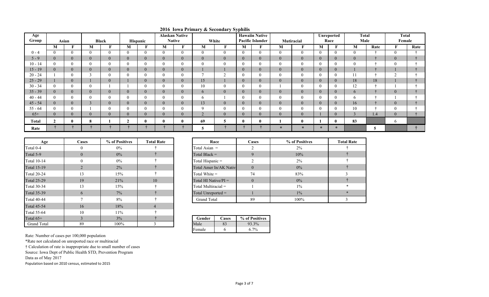| Age          |                |                |                  |                |                |                |   | <b>Alaskan Native</b> | $m$ and $j$ as secondary sypmers |                |                | <b>Hawaiin Native</b>   |                |                |              | Unreported     | <b>Total</b>   |      | <b>Total</b>   |      |
|--------------|----------------|----------------|------------------|----------------|----------------|----------------|---|-----------------------|----------------------------------|----------------|----------------|-------------------------|----------------|----------------|--------------|----------------|----------------|------|----------------|------|
| Group        |                | Asian          |                  | <b>Black</b>   |                | Hispanic       |   | <b>Native</b>         |                                  | White          |                | <b>Pacific Islander</b> |                | Mutiracial     |              | Race           | Male           |      | Female         |      |
|              | M              |                | M                | m              | M              | F              | М | F                     | М                                |                | M              | $\mathbf{F}$            | М              | F              | M            | F              | M              | Rate |                | Rate |
| $0 - 4$      |                | $\theta$       | $\mathbf{0}$     | $\theta$       | $\mathbf{0}$   | $\Omega$       |   |                       | $\overline{0}$                   | $\theta$       | $\Omega$       |                         | $\overline{0}$ | $\theta$       | $\theta$     | $\theta$       | $\Omega$       |      | $\theta$       |      |
| $5 - 9$      |                | $\overline{0}$ | $\mathbf{0}$     | $\overline{0}$ | $\overline{0}$ | $\mathbf{0}$   |   | $\theta$              | $\overline{0}$                   | $\overline{0}$ | $\Omega$       |                         | $\overline{0}$ | $\theta$       | $\mathbf{0}$ | $\overline{0}$ | $\theta$       |      | $\mathbf{U}$   |      |
| $10 - 14$    |                |                | $\theta$         |                | $\theta$       |                |   |                       | $\theta$                         |                | $\Omega$       |                         | O              | $\theta$       | $\Omega$     | $\theta$       |                |      |                |      |
| $15 - 19$    | $\theta$       | $\overline{0}$ | $\boldsymbol{0}$ |                | $\overline{0}$ | $\mathbf{0}$   |   |                       |                                  |                |                |                         | $\overline{0}$ | $\overline{0}$ | $\mathbf{0}$ | $\mathbf{0}$   |                |      |                |      |
| $20 - 24$    |                |                | $\sim$           |                | $\Omega$       |                |   |                       |                                  |                | $\Omega$       |                         |                | $\theta$       | $\Omega$     | $\theta$       | 11             |      | $\sim$         |      |
| $25 - 29$    |                | $\overline{0}$ |                  | $\overline{0}$ |                | $\theta$       | v | v                     | 15                               |                | $\theta$       | v                       |                | $\overline{0}$ | $\theta$     | $\overline{0}$ | 18             | 18   |                |      |
| $30 - 34$    |                |                | $\mathbf{0}$     |                |                |                |   |                       | 10                               |                | $\Omega$       |                         |                | $\theta$       | $\Omega$     | $\mathbf{0}$   | 12             |      |                |      |
| $35 - 39$    | $\theta$       | $\overline{0}$ | $\overline{0}$   | $\overline{0}$ | $\overline{0}$ | $\theta$       |   |                       | 6                                | $\overline{0}$ | $\theta$       |                         |                | $\overline{0}$ | $\theta$     | $\overline{0}$ | 6              |      |                |      |
| $40 - 44$    |                |                | $\mathbf{0}$     |                | $\Omega$       |                |   |                       | 6                                |                |                |                         |                | $\overline{0}$ | $\Omega$     | $\mathbf{0}$   | h              |      |                |      |
| $45 - 54$    |                | $\overline{0}$ | $\sim$           |                | $\overline{0}$ | $\overline{0}$ |   |                       | 13                               | $\overline{0}$ | $\overline{0}$ |                         |                | $\theta$       | $\theta$     | $\mathbf{0}$   | 16             |      |                |      |
| $55 - 64$    |                |                |                  |                | $\theta$       |                |   |                       | $\mathbf Q$                      |                | $\Omega$       |                         |                | $\Omega$       | $\Omega$     | $\theta$       | 10             |      | $\Omega$       |      |
| $65+$        | $\overline{0}$ | $\overline{0}$ | $\overline{0}$   | $\overline{0}$ | $\overline{0}$ | $\theta$       |   | $\overline{0}$        | ∠                                | $\overline{0}$ | $\Omega$       |                         |                | $\overline{0}$ |              | $\overline{0}$ | $\overline{3}$ | 1.4  | $\overline{0}$ |      |
| <b>Total</b> | ി              |                | 8                |                | $\overline{2}$ |                |   |                       | 69                               | 5              |                |                         |                | $\mathbf{0}$   |              | $\bf{0}$       | 83             |      | $\sigma$       |      |
| Rate         |                |                |                  |                |                |                |   |                       | э                                |                |                |                         | $\ast$         | $\ast$         | $\ast$       | $\star$        |                | 5    |                |      |

**2016 Iowa Primary & Secondary Syphilis**

| Age                | Cases          | % of Positives | <b>Total Rate</b> | Race                    |                         | Cases          |
|--------------------|----------------|----------------|-------------------|-------------------------|-------------------------|----------------|
| Total 0-4          | 0              | $0\%$          |                   | Total Asian =           |                         | ↑              |
| Total 5-9          | $\theta$       | $0\%$          |                   | Total Black $=$         |                         | 9              |
| <b>Total 10-14</b> | $\Omega$       | $0\%$          |                   | Total Hispanic =        |                         |                |
| <b>Total 15-19</b> | $\overline{2}$ | $2\%$          |                   |                         | Total Amer In/AK Native | $\overline{0}$ |
| <b>Total 20-24</b> | 13             | 15%            |                   |                         | 74<br>Total White $=$   |                |
| <b>Total 25-29</b> | 19             | 21%            | 10                | Total HI Native/ $PI =$ |                         | $\overline{0}$ |
| <b>Total 30-34</b> | 13             | 15%            |                   | Total Multiracial $=$   |                         |                |
| <b>Total 35-39</b> | 6              | $7\%$          |                   | Total Unreported =      |                         |                |
| <b>Total 40-44</b> | $\mathbf{r}$   | 8%             |                   | <b>Grand Total</b>      |                         | 89             |
| <b>Total 45-54</b> | 16             | 18%            | 4                 |                         |                         |                |
| <b>Total 55-64</b> | 10             | 11%            |                   |                         |                         |                |
| Total $65+$        | 3              | 3%             |                   | Gender                  | Cases                   | % of Positives |
| <b>Grand Total</b> | 89             | 100%           |                   | Male                    | 83                      | 93.3%          |

| ases             | % of Positives | <b>Total Rate</b> | Race                    | <b>Cases</b> | % of Positives |
|------------------|----------------|-------------------|-------------------------|--------------|----------------|
| $\boldsymbol{0}$ | $0\%$          |                   | Total Asian $=$         |              | $2\%$          |
| $\overline{0}$   | $0\%$          |                   | Total Black $=$         |              | 10%            |
| $\overline{0}$   | $0\%$          |                   | Total Hispanic =        |              | $2\%$          |
| $\overline{2}$   | $2\%$          |                   | Total Amer In/AK Native | $\theta$     | $0\%$          |
| 13               | 15%            |                   | Total White =           | 74           | 83%            |
| 19               | 21%            | 10                | Total HI Native/ $PI =$ | $\theta$     | $0\%$          |
| 13               | 15%            |                   | Total Multiracial =     |              | $1\%$          |
| 6                | $7\%$          |                   | Total Unreported =      |              | $1\%$          |
|                  | 8%             |                   | Grand Total             | 89           | 100%           |

| 3%   |  | Gender | Cases | % of Positives |
|------|--|--------|-------|----------------|
| 100% |  | Male   | 83    | 93.3%          |
|      |  | Female |       | $6.7\%$        |

Rate: Number of cases per 100,000 population

\*Rate not calculated on unreported race or multiracial

† Calculation of rate is inappropriate due to small number of cases

Source: Iowa Dept of Public Health STD, Prevention Program

Data as of May 2017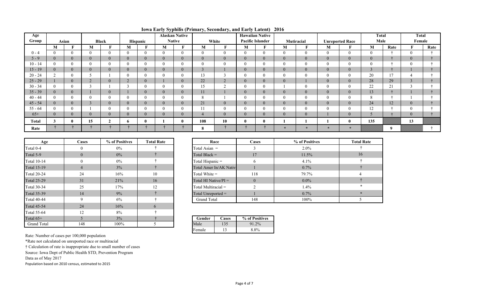| Age          |        |                |                |                |                |              |                | <b>Alaskan Native</b> |                |        |                | <b>Hawaiian Native</b>  |                |              |                |                        | <b>Total</b>   |      | Total            |      |
|--------------|--------|----------------|----------------|----------------|----------------|--------------|----------------|-----------------------|----------------|--------|----------------|-------------------------|----------------|--------------|----------------|------------------------|----------------|------|------------------|------|
| Group        |        | Asian          |                | Black          |                | Hispanic     |                | <b>Native</b>         |                | White  |                | <b>Pacific Islander</b> |                | Mutiracial   |                | <b>Unreported Race</b> | Male           |      | Female           |      |
|              | M      |                | М              |                | M              | F.           | M              | m                     | М              | F      | M              | T.                      | M              | T.           | M              | F                      | M              | Rate |                  | Rate |
| $0 - 4$      |        |                | $\Omega$       | $\theta$       | $\Omega$       | $\Omega$     | $\overline{0}$ | $\overline{0}$        | $\theta$       |        | $\theta$       | $\overline{0}$          | $\Omega$       | $\theta$     | $\overline{0}$ | $\theta$               | $\overline{0}$ |      | $\theta$         |      |
| $5 - 9$      |        | $\overline{0}$ | $\overline{0}$ | $\mathbf{0}$   | $\mathbf{0}$   | $\Omega$     | $\overline{0}$ | $\overline{0}$        | $\overline{0}$ |        | $\theta$       | $\overline{0}$          | $\overline{0}$ | $\mathbf{0}$ | $\overline{0}$ | $\mathbf{0}$           | $\mathbf{0}$   |      | $\mathbf{0}$     |      |
| $10 - 14$    |        |                |                | $\Omega$       |                |              | $\theta$       | $\overline{0}$        | 0              |        |                | $\theta$                | $\Omega$       | $\mathbf{0}$ | $\overline{0}$ | $\theta$               | $\mathbf{0}$   |      |                  |      |
| $15 - 19$    |        |                | $\overline{0}$ | $\overline{0}$ | $\mathbf{0}$   | $\theta$     | $\mathbf{0}$   | $\mathbf{0}$          | $\bigcap$      |        | $\theta$       | $\overline{0}$          | $\overline{0}$ | $\mathbf{0}$ | $\overline{0}$ | $\mathbf{0}$           | 3              |      |                  |      |
| $20 - 24$    | $\sim$ |                |                |                |                |              |                | $\theta$              | 13             |        |                | $\Omega$                |                | $\theta$     | $\overline{0}$ | $\mathbf{0}$           | 20             | 17   |                  |      |
| $25 - 29$    |        |                |                | $\theta$       | $\sim$         | $\theta$     |                | $\overline{0}$        | 22             | ∠      | $\theta$       | $\overline{0}$          | $\overline{0}$ |              | $\overline{0}$ | $\mathbf{0}$           | 28             | 29   |                  |      |
| $30 - 34$    |        |                |                |                | $\sim$         |              | $\Omega$       | $\theta$              | 15             | $\sim$ |                | $\Omega$                |                | $\theta$     | $\theta$       | $\overline{0}$         | 22             | 21   |                  |      |
| $35 - 39$    |        |                |                | $\overline{0}$ |                | $\Omega$     | $\overline{0}$ | $\overline{0}$        | 11             |        |                | $\overline{0}$          | $\theta$       | $\mathbf{0}$ | $\overline{0}$ | $\mathbf{0}$           | 13             |      |                  |      |
| $40 - 44$    |        |                |                | $\Omega$       |                |              | $\theta$       | $\theta$              | 8              |        |                | $\theta$                |                | $\mathbf{0}$ | $\theta$       | $\theta$               | 8              |      |                  |      |
| $45 - 54$    |        |                |                | $\overline{0}$ | $\overline{0}$ | $\theta$     | $\overline{0}$ | $\mathbf{0}$          | 21             | U      | $\overline{0}$ | $\mathbf{0}$            | $\mathbf{0}$   | $\mathbf{0}$ | $\overline{0}$ | $\mathbf{0}$           | 24             | 12   | $\boldsymbol{0}$ |      |
| $55 - 64$    |        |                |                | $\Omega$       |                |              | $\Omega$       | $\theta$              | 11             |        |                | $\Omega$                |                | $\mathbf{0}$ | $\theta$       | $\theta$               | 12             |      |                  |      |
| $65+$        |        |                | $\overline{0}$ | $\theta$       | $\Omega$       | $\Omega$     | $\overline{0}$ | $\overline{0}$        |                |        | $\Omega$       | $\overline{0}$          | $\theta$       | $\mathbf{0}$ |                | $\mathbf{0}$           | 5              |      | $\overline{0}$   |      |
| <b>Total</b> |        |                | 15             | $\mathcal{L}$  | $\mathbf b$    | $\mathbf{0}$ |                |                       | 108            | 10     | $\mathbf{0}$   | $\bf{0}$                |                |              |                | $\bf{0}$               | 135            |      | 13               |      |
| Rate         |        |                |                |                |                |              |                |                       | 8              |        |                |                         |                | $\sim$       | $\ast$         | $\star$                |                | 9    |                  |      |

**Iowa Early Syphilis (Primary, Secondary, and Early Latent) 2016**

| Age                | Cases          | % of Positives | <b>Total Rate</b> |  | Race<br>Total Asian =   |                         | Cases          |
|--------------------|----------------|----------------|-------------------|--|-------------------------|-------------------------|----------------|
| Total 0-4          | 0              | $0\%$          |                   |  |                         |                         |                |
| Total 5-9          | $\Omega$       | $0\%$          |                   |  | Total Black $=$         |                         | 17             |
| <b>Total 10-14</b> | 0              | $0\%$          |                   |  | Total Hispanic =        |                         | 6              |
| <b>Total 15-19</b> | $\overline{4}$ | $3\%$          |                   |  |                         | Total Amer In/AK Native |                |
| <b>Total 20-24</b> | 24             | 16%            | 10                |  | Total White $=$         |                         | 118            |
| <b>Total 25-29</b> | 31             | 21%            | 16                |  | Total HI Native/ $PI =$ |                         | $\overline{0}$ |
| <b>Total 30-34</b> | 25             | 17%            | 12                |  | Total Multiracial $=$   |                         | $\mathfrak{D}$ |
| <b>Total 35-39</b> | 14             | 9%             |                   |  | Total Unreported $=$    |                         |                |
| <b>Total 40-44</b> | 9              | 6%             |                   |  | <b>Grand Total</b>      |                         | 148            |
| <b>Total 45-54</b> | 24             | 16%            | 6                 |  |                         |                         |                |
| <b>Total 55-64</b> | 12             | 8%             |                   |  |                         |                         |                |
| Total $65+$        |                | $3\%$          |                   |  | Gender                  | Cases                   | % of Positives |
| <b>Grand Total</b> | 148            | 100%           |                   |  | Male                    | 135                     | 91.2%          |

| 'ases          | % of Positives | <b>Total Rate</b> | Race                    | <b>Cases</b> | % of Positives |
|----------------|----------------|-------------------|-------------------------|--------------|----------------|
| $\mathbf{0}$   | $0\%$          |                   | Total Asian =           |              | $2.0\%$        |
| $\mathbf{0}$   | $0\%$          |                   | Total Black $=$         | 17           | 11.5%          |
| $\mathbf{0}$   | $0\%$          |                   | Total Hispanic =        |              | 4.1%           |
| $\overline{4}$ | 3%             |                   | Total Amer In/AK Native |              | $0.7\%$        |
| 24             | 16%            | 10                | Total White $=$         | 118          | 79.7%          |
| 31             | 21%            | 16                | Total HI Native/ $PI =$ | $\theta$     | $0.0\%$        |
| 25             | 17%            | 12                | Total Multiracial =     |              | $1.4\%$        |
| 14             | 9%             |                   | Total Unreported $=$    |              | $0.7\%$        |
| 9              | 6%             |                   | <b>Grand Total</b>      | 148          | 100%           |

| Gender | <b>lases</b> | % of Positives |
|--------|--------------|----------------|
| lale   | 35           |                |
| Female |              | $8.8\%$        |

Rate: Number of cases per 100,000 population

\*Rate not calculated on unreported race or multiracial

† Calculation of rate is inappropriate due to small number of cases

Source: Iowa Dept of Public Health STD, Prevention Program

Data as of May 2017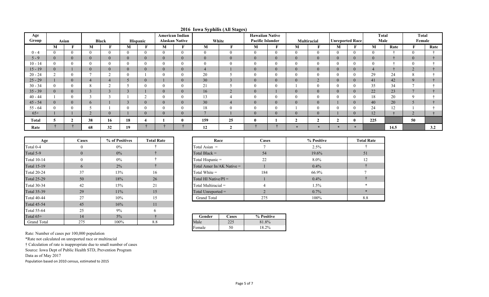| Age          |   |       |                |                |                |          |   | <b>American Indian</b> | $\mathbf{v}$ .  | $\sim$<br>$\sigma$ , | <b>Hawaiian Native</b> |                |          |                       |                        |                | <b>Total</b> |      | <b>Total</b>   |      |
|--------------|---|-------|----------------|----------------|----------------|----------|---|------------------------|-----------------|----------------------|------------------------|----------------|----------|-----------------------|------------------------|----------------|--------------|------|----------------|------|
| Group        |   | Asian |                | <b>Black</b>   |                | Hispanic |   | <b>Alaskan Native</b>  |                 | White                | Pacific Islander       |                |          | Multiracial           | <b>Unreported Race</b> |                | Male         |      | Female         |      |
|              | M |       | M              |                | M              |          | M |                        | M               | $\mathbf{r}$         | M                      | F              | M        | $\mathbf{F}$          | M                      | ю              | M            | Rate |                | Rate |
| $0 - 4$      |   |       |                | $\theta$       | $\Omega$       |          |   | $\theta$               | $\theta$        | $\Omega$             | $\theta$               | $\theta$       |          | $\theta$              | $\theta$               |                |              |      |                |      |
| $5 - 9$      |   |       | $\overline{0}$ | $\overline{0}$ | $\theta$       |          |   | $\overline{0}$         | $\overline{0}$  |                      | $\overline{0}$         | $\overline{0}$ | $\theta$ | $\mathbf{0}$          | $\overline{0}$         | $\overline{0}$ | $\theta$     |      |                |      |
| $10 - 14$    |   |       |                | $\Omega$       | $\theta$       |          |   | $\theta$               | $\mathbf{0}$    | $\Omega$             | $\theta$               | 0              |          | $\theta$              | $\theta$               |                |              |      |                |      |
| $15 - 19$    |   |       |                | $\overline{0}$ | $\overline{0}$ |          |   | $\mathbf{0}$           | $\overline{4}$  |                      | $\overline{0}$         | $\overline{0}$ | $\theta$ | $\overline{0}$        | $\overline{0}$         | $\mathbf{0}$   | 4            |      | ∠              |      |
| $20 - 24$    |   |       |                | $\sim$         | $\theta$       |          |   | $\overline{0}$         | 20              |                      | $\theta$               | 0              |          | 0                     | $\bf{0}$               |                | 29           | 24   |                |      |
| $25 - 29$    |   |       |                | $\overline{4}$ |                |          |   | $\mathbf{0}$           | 30 <sup>°</sup> |                      | $\overline{0}$         | $\overline{0}$ |          | $\bigcap$<br>$\angle$ | $\overline{0}$         | $\Omega$       | 41           | 42   |                |      |
| $30 - 34$    |   |       | $\Omega$       | $\sim$         |                |          |   | $\overline{0}$         | 21              |                      | $\theta$               | $\Omega$       |          | $\theta$              | $\theta$               |                | 35           | 34   |                |      |
| $35 - 39$    |   |       |                |                | $\sim$         |          |   | $\overline{0}$         | 16              |                      | $\theta$               |                | $\Omega$ | $\theta$              | $\overline{0}$         | $\mathbf{U}$   | 22           | 23   |                |      |
| $40 - 44$    |   |       |                |                |                |          |   | $\Omega$               | 13              |                      | $\Omega$               | $\theta$       |          |                       | $\theta$               |                | 18           | 20   |                |      |
| $45 - 54$    |   |       | 6              |                | $\sim$         |          |   | $\mathbf{0}$           | 30              |                      | $\overline{0}$         | $\overline{0}$ |          | $\overline{0}$        |                        | $\overline{0}$ | 40           | 20   |                |      |
| $55 - 64$    |   |       |                |                | $\Omega$       |          |   | $\theta$               | 18              | $\Omega$             | $\theta$               | 0              |          | $\theta$              | $\theta$               |                | 24           | 12   |                |      |
| $65+$        |   |       |                | $\overline{0}$ |                |          |   | $\overline{0}$         | $\overline{ }$  |                      | $\overline{0}$         | $\overline{0}$ | $\theta$ | $\overline{0}$        |                        | $\overline{0}$ | 12           |      | $\overline{L}$ |      |
| <b>Total</b> |   |       | 38             | 16             | 18             |          |   | $\mathbf{0}$           | 159             | 25                   | $\mathbf{0}$           |                |          |                       |                        |                | 225          |      | 50             |      |
| Rate         |   |       | 68             | 32             | 19             |          |   |                        | 12              |                      |                        |                |          |                       |                        | $\star$        |              | 14.5 |                | 3.2  |

#### **2016 Iowa Syphilis (All Stages)**

| Age                | Cases          | % of Positives | <b>Total Rate</b> | Race                        |
|--------------------|----------------|----------------|-------------------|-----------------------------|
| Total 0-4          | 0              | $0\%$          |                   | Total Asian $=$             |
| Total 5-9          | $\overline{0}$ | $0\%$          |                   | Total Black $=$             |
| <b>Total 10-14</b> | 0              | $0\%$          |                   | Total Hispanic $=$          |
| <b>Total 15-19</b> | 6              | $2\%$          |                   | Total Amer In/AK Native $=$ |
| <b>Total 20-24</b> | 37             | 13%            | 16                | Total White $=$             |
| <b>Total 25-29</b> | 50             | 18%            | 26                | Total HI Native/ $PI =$     |
| <b>Total 30-34</b> | 42             | 15%            | 21                | Total Multiracial $=$       |
| <b>Total 35-39</b> | 29             | $11\%$         | 15                | Total Unreported $=$        |
| <b>Total 40-44</b> | 27             | 10%            | 15                | <b>Grand Total</b>          |
| <b>Total 45-54</b> | 45             | 16%            | 11                |                             |
| <b>Total 55-64</b> | 25             | 9%             | 6                 |                             |
| Total $65+$        | 14             | $5\%$          |                   | Gender<br>Cases             |
| <b>Grand Total</b> | 275            | 100%           | 8.8               | Male<br>225                 |

| Age         | Cases        | % of Positives | <b>Total Rate</b> | Race                        | <b>Cases</b> | % Positive | <b>Total Rate</b> |
|-------------|--------------|----------------|-------------------|-----------------------------|--------------|------------|-------------------|
| Total 0-4   |              | $0\%$          |                   | Total Asian $=$             |              | 2.5%       |                   |
| Total 5-9   |              | $0\%$          |                   | Total Black $=$             | 54           | 19.6%      | 51                |
| Total 10-14 |              | $0\%$          |                   | Total Hispanic =            | 22           | 8.0%       |                   |
| Total 15-19 | $\mathbf{b}$ | $2\%$          |                   | Total Amer In/AK Native $=$ |              | $0.4\%$    |                   |
| Total 20-24 |              | 13%            | 16                | Total White $=$             | 184          | 66.9%      |                   |
| Total 25-29 | 50           | 18%            | 26                | Total HI Native/ $PI =$     |              | $0.4\%$    |                   |
| Total 30-34 | 42           | 15%            | 21                | Total Multiracial $=$       |              | 1.5%       |                   |
| Total 35-39 | 29           | 11%            | 15                | Total Unreported =          |              | $0.7\%$    |                   |
| Total 40-44 | 27           | $10\%$         | 15                | Grand Total                 | 275          | 100%       | 8.8               |

| 14  | $5\%$   |     | Gender | Cases        | % Positive              |
|-----|---------|-----|--------|--------------|-------------------------|
| 275 | $100\%$ | 0.0 | Male   | 225<br>ر ے ک | 81.8%<br>O <sub>1</sub> |
|     |         |     | Female | 50           | 18.2%                   |

Rate: Number of cases per 100,000 population

\*Rate not calculated on unreported race or multiracial

† Calculation of rate is inappropriate due to small number of cases

Source: Iowa Dept of Public Health STD, Prevention Program

Data as of May 2017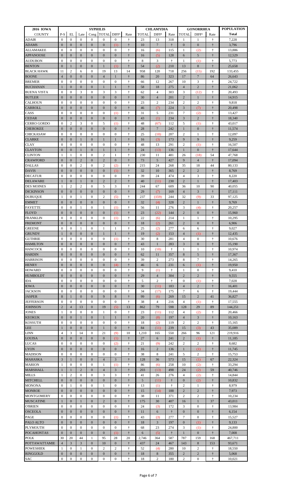| <b>2016 IOWA</b>                   | <b>SYPHILIS</b>                  |                                  |                                  |                                    |                                    | <b>CHLAMYDIA</b>                 |                                       | <b>GONORRHEA</b> |                       |                      | <b>POPULATION</b>                |                        |                                       |                   |
|------------------------------------|----------------------------------|----------------------------------|----------------------------------|------------------------------------|------------------------------------|----------------------------------|---------------------------------------|------------------|-----------------------|----------------------|----------------------------------|------------------------|---------------------------------------|-------------------|
| <b>COUNTY</b>                      | $P-S$                            | <b>EL</b>                        | Late                             |                                    | Cong   TOTAL                       | DIFF <sup>1</sup>                | Rate<br>$\ddot{\phantom{1}}$          | <b>TOTAL</b>     | DIFF <sup>1</sup>     | Rate                 | <b>TOTAL</b>                     | DIFF <sup>1</sup>      | Rate                                  | <b>Total</b>      |
| <b>ADAIR</b><br><b>ADAMS</b>       | $\Omega$<br>$\Omega$             | $\Omega$<br>$\overline{0}$       | $\Omega$<br>$\theta$             | $\Omega$<br>$\Omega$               | $\Omega$<br>$\Omega$               | $\Omega$<br>(1)                  | $\ddot{\tau}$                         | 23<br>10         | 13<br>$\overline{7}$  | 318<br>$\ddagger$    | -1<br>$\theta$                   | 1<br>$\mathbf{0}$      | ÷<br>$\ddagger$                       | 7,228<br>3,796    |
| ALLAMAKEE                          | $\Omega$                         | $\Omega$                         | $\theta$                         | $\Omega$                           | $\Omega$                           | $\Omega$                         | $\ddot{\phantom{1}}$                  | 16               | (6)                   | 115                  | $\mathbf{1}$                     | (2)                    | $\ddot{\phantom{1}}$                  | 13,886            |
| <b>APPANOOSE</b>                   | $\overline{0}$                   | $\overline{0}$                   | $\theta$                         | $\Omega$                           | $\Omega$                           | $\overline{0}$                   | $\ddot{\tau}$                         | 16               | (5)                   | 128                  | 6                                | $\overline{5}$         | $\ddagger$                            | 12,529            |
| <b>AUDUBON</b>                     | $\Omega$                         | $\Omega$                         | $\Omega$                         | $\Omega$                           | $\Omega$                           | $\Omega$                         | $\ddot{\phantom{1}}$                  | 8                | 3                     | $\div$               | $\mathbf{1}$                     | (1)                    | $\ddot{\phantom{1}}$                  | 5,773             |
| <b>BENTON</b>                      | $\Omega$                         | 1                                | $\overline{0}$                   | $\overline{0}$                     | 1                                  | (1)                              | $\ddot{\tau}$                         | 54               | (2)                   | 210                  | 13                               | 8                      | $\ddot{\tau}$                         | 25,658            |
| <b>BLACK HAWK</b><br><b>BOONE</b>  | 11<br>$\overline{4}$             | $\overline{2}$<br>$\overline{0}$ | 6<br>$\theta$                    | $\Omega$<br>$\Omega$               | 19<br>$\overline{4}$               | 13<br>1                          | 14<br>$\ddot{\tau}$                   | 958<br>86        | 120<br>20             | 718<br>323           | 256<br>17                        | (15)<br>$\overline{7}$ | 192<br>64                             | 133,455<br>26,643 |
| <b>BREMER</b>                      | $\Omega$                         | $\Omega$                         | $\Omega$                         | $\Omega$                           | $\Omega$                           | $\Omega$                         | $\ddot{\phantom{1}}$                  | 66               | 12                    | 267                  | 10                               | 3                      | ÷                                     | 24,722            |
| <b>BUCHANAN</b>                    |                                  | $\overline{0}$                   | $\overline{0}$                   | $\Omega$                           | 1                                  |                                  | $\ddot{\tau}$                         | 58               | 18                    | 275                  | $\overline{4}$                   | $\overline{2}$         | $\ddagger$                            | 21,062            |
| <b>BUENA VISTA</b>                 | $\Omega$                         | $\Omega$                         | 3                                | $\Omega$                           | 3                                  | 3                                | $\ddot{\phantom{1}}$                  | 62               | $\overline{4}$        | 303                  | 3                                | (12)                   | $\ddot{\phantom{1}}$                  | 20,493            |
| <b>BUTLER</b>                      | $\overline{0}$                   | $\overline{0}$                   | $\theta$                         | $\Omega$                           | $\Omega$                           | $\overline{0}$                   | $\ddot{\tau}$                         | 30               | $\overline{4}$        | 201                  | $\overline{2}$                   | $\mathbf{1}$           | $\ddagger$                            | 14,915            |
| CALHOUN<br>CARROLL                 | $\Omega$<br>$\overline{0}$       | $\Omega$<br>$\overline{0}$       | $\Omega$<br>$\theta$             | $\Omega$<br>$\Omega$               | $\Omega$<br>$\Omega$               | $\Omega$<br>$\overline{0}$       | $\ddot{\phantom{1}}$<br>$\ddot{\tau}$ | 23<br>46         | $\overline{2}$<br>(7) | 234<br>224           | $\overline{2}$<br>3              | $\overline{2}$<br>(7)  | $\ddot{\phantom{1}}$<br>$\ddagger$    | 9,818<br>20,498   |
| CASS                               | $\Omega$                         | $\Omega$                         | $\Omega$                         | $\Omega$                           | $\Omega$                           | (1)                              | $\ddot{\phantom{1}}$                  | 31               | 5                     | 231                  | 7                                | (2)                    | $\ddot{\phantom{1}}$                  | 13,427            |
| <b>CEDAR</b>                       | $\overline{0}$                   | $\overline{0}$                   | $\overline{0}$                   | $\Omega$                           | $\Omega$                           | $\theta$                         | $\ddot{\tau}$                         | 43               | (1)                   | 234                  | 3                                | $\overline{2}$         | $\ddagger$                            | 18,340            |
| <b>CERRO GORDO</b>                 | $\Omega$                         | 2                                | 3                                | $\Omega$                           | 5                                  | (1)                              | $\ddot{\phantom{1}}$                  | 48               | (67)                  | 112                  | 5                                | (1)                    | $\ddot{\phantom{1}}$                  | 43,017            |
| <b>CHEROKEE</b>                    | $\overline{0}$                   | $\overline{0}$                   | $\theta$                         | $\Omega$                           | $\Omega$                           | $\theta$                         | $\ddot{\tau}$                         | 28               | 7                     | 242                  | 1                                | $\mathbf{0}$           | $\ddagger$                            | 11,574            |
| <b>CHICKASAW</b><br><b>CLARKE</b>  | $\Omega$<br>$\overline{0}$       | $\Omega$<br>$\overline{0}$       | $\Omega$<br>1                    | $\Omega$<br>$\Omega$               | $\Omega$<br>1                      | $\Omega$<br>1                    | $\ddot{\phantom{1}}$<br>$\ddot{\tau}$ | 25               | (10)                  | 207<br>173           | $\overline{2}$                   | $\mathbf{1}$<br>9      | $\ddot{\phantom{1}}$<br>$\ddagger$    | 12,097<br>9,259   |
| <b>CLAY</b>                        | $\Omega$                         | $\Omega$                         | $\Omega$                         | $\Omega$                           | $\Omega$                           | $\Omega$                         | $\ddot{\phantom{1}}$                  | 16<br>48         | (3)<br>13             | 291                  | 9<br>$\overline{2}$              | (1)                    | $\ddot{\tau}$                         | 16,507            |
| <b>CLAYTON</b>                     | $\overline{0}$                   | $\overline{0}$                   | 1                                | $\Omega$                           | 1                                  | 1                                | $\ddot{\tau}$                         | 24               | (13)                  | 136                  | 1                                | $\mathbf{0}$           | $\ddot{\tau}$                         | 17,644            |
| <b>CLINTON</b>                     | $\mathbf{1}$                     | $\mathbf{1}$                     | $\Omega$                         | $\Omega$                           | $\overline{2}$                     | $\mathbf{1}$                     | $\ddot{\phantom{1}}$                  | 230              | 11                    | 481                  | 26                               | (18)                   | 54                                    | 47,768            |
| <b>CRAWFORD</b>                    | $\overline{0}$                   | $\overline{0}$                   | $\overline{2}$                   | $\Omega$                           | $\overline{2}$                     | $\Omega$                         | $\ddot{\tau}$                         | 73               | 5                     | 427                  | 9                                | $\overline{4}$         | $\ddagger$                            | 17,094            |
| <b>DALLAS</b>                      | $\Omega$                         | $\Omega$                         | $\overline{2}$                   | $\Omega$                           | $\overline{2}$                     | (2)                              | $\ddot{\phantom{1}}$<br>$\ddagger$    | 215              | 24                    | 268                  | 35                               | 18                     | 44                                    | 80,133            |
| <b>DAVIS</b><br><b>DECATUR</b>     | $\Omega$<br>$\boldsymbol{0}$     | $\Omega$<br>$\Omega$             | $\theta$<br>$\Omega$             | $\Omega$<br>$\Omega$               | $\Omega$<br>$\Omega$               | (1)<br>$\overline{0}$            | $\ddot{\phantom{1}}$                  | 32<br>39         | 10<br>24              | 365<br>474           | $\overline{2}$<br>$\overline{4}$ | 2<br>3                 | $\ddot{\tau}$<br>$\ddot{\phantom{1}}$ | 8,769<br>8,220    |
| <b>DELAWARE</b>                    | $\mathbf{1}$                     | $\overline{0}$                   | $\mathbf{1}$                     | $\mathbf{0}$                       | $\overline{2}$                     | $\overline{2}$                   | $\ddot{\tau}$                         | 40               | (11)                  | 230                  | $\overline{c}$                   | $\mathbf{1}$           | $\ddot{\tau}$                         | 17,403            |
| <b>DES MOINES</b>                  | $\mathbf{1}$                     | $\overline{2}$                   | $\overline{2}$                   | $\Omega$                           | 5                                  | 3                                | $\ddot{\tau}$                         | 244              | 67                    | 609                  | 36                               | 10                     | 90                                    | 40,055            |
| <b>DICKINSON</b>                   | $\overline{0}$                   | $\overline{0}$                   | $\mathbf{0}$                     | $\overline{0}$                     | $\overline{0}$                     | $\overline{0}$                   | $\ddagger$                            | 29               | (7)                   | 169                  | $\overline{4}$                   | 3                      | $\dagger$                             | 17,111            |
| <b>DUBUQUE</b>                     | $\mathbf{1}$                     | $\overline{0}$                   | $\mathbf{1}$                     | $\Omega$                           | $\overline{2}$                     | (5)                              | $\ddagger$                            | 237              | (159)                 | 244                  | 32                               | (9)                    | 33                                    | 97,125            |
| <b>EMMET</b><br><b>FAYETTE</b>     | $\overline{0}$<br>$\overline{0}$ | $\overline{0}$<br>$\overline{0}$ | $\overline{0}$<br>$\mathbf{1}$   | $\overline{0}$<br>$\overline{0}$   | $\overline{0}$<br>1                | $\overline{0}$<br>(1)            | $\ddagger$<br>$\ddagger$              | 32<br>56         | (4)<br>11             | 328<br>276           | $\overline{2}$<br>3              | $\mathbf{1}$<br>(4)    | $\dagger$<br>$\ddagger$               | 9,769<br>20,257   |
| <b>FLOYD</b>                       | $\boldsymbol{0}$                 | $\overline{0}$                   | $\overline{0}$                   | $\overline{0}$                     | $\overline{0}$                     | (1)                              | $\dagger$                             | 23               | (22)                  | 144                  | $\overline{2}$                   | $\mathbf{0}$           | $\dagger$                             | 15,960            |
| <b>FRANKLIN</b>                    | $\overline{0}$                   | $\overline{0}$                   | $\overline{0}$                   | $\Omega$                           | $\overline{0}$                     | (1)                              | $\ddagger$                            | $22\,$           | (6)                   | 214                  | $\mathbf{1}$                     | $\mathbf{1}$           | $\ddagger$                            | 10,295            |
| <b>FREMONT</b>                     | $\overline{0}$                   | $\overline{0}$                   | $\overline{0}$                   | $\overline{0}$                     | $\overline{0}$                     | $\overline{0}$                   | $\ddagger$                            | 18               | (2)                   | 261                  | $\overline{2}$                   | $\mathbf{0}$           | $\dagger$                             | 6,906             |
| <b>GREENE</b>                      | $\boldsymbol{0}$                 | $\overline{0}$                   | $\mathbf{1}$                     | $\Omega$                           | 1                                  | 1                                | $\ddagger$                            | 25               | (2)                   | 277                  | 6                                | 6                      | $\ddagger$                            | 9,027             |
| <b>GRUNDY</b><br><b>GUTHRIE</b>    | $\mathbf{1}$<br>$\overline{0}$   | $\overline{0}$<br>$\overline{0}$ | $\overline{0}$<br>$\overline{0}$ | $\overline{0}$<br>$\Omega$         | $\mathbf{1}$<br>$\overline{0}$     | $\mathbf{1}$<br>(1)              | $\ddagger$<br>$\ddagger$              | 19<br>30         | (2)<br>8              | 153<br>281           | $\overline{4}$<br>$\overline{4}$ | (1)<br>$\mathbf{0}$    | $\dagger$<br>$\ddagger$               | 12,435<br>10,676  |
| <b>HAMILTON</b>                    | $\overline{0}$                   | $\overline{0}$                   | $\overline{0}$                   | $\overline{0}$                     | $\overline{0}$                     | $\overline{0}$                   | $\ddagger$                            | 43               | $\mathbf{1}$          | 283                  | 3                                | $\mathbf{0}$           | $\dagger$                             | 15,190            |
| <b>HANCOCK</b>                     | $\overline{0}$                   | $\overline{0}$                   | $\overline{0}$                   | $\Omega$                           | $\boldsymbol{0}$                   | $\overline{0}$                   | $\ddagger$                            | 10               | (10)                  | $\ddot{\tau}$        | $\mathbf{1}$                     | $\mathbf{1}$           | $\ddagger$                            | 10,974            |
| <b>HARDIN</b>                      | $\boldsymbol{0}$                 | $\overline{0}$                   | $\overline{0}$                   | $\overline{0}$                     | $\overline{0}$                     | $\overline{0}$                   | $\ddagger$                            | 62               | 11                    | 357                  | $8\phantom{1}$                   | $5\overline{)}$        | $\dagger$                             | 17,367            |
| <b>HARRISON</b>                    | $\overline{0}$                   | $\overline{0}$                   | $\overline{0}$                   | $\Omega$                           | $\Omega$                           | $\overline{0}$                   | $\ddagger$                            | 39               | $\overline{2}$        | 273                  | $8\,$                            | $\boldsymbol{7}$       | $\dagger$                             | 14,265            |
| <b>HENRY</b><br><b>HOWARD</b>      | $\overline{0}$<br>$\overline{0}$ | $\overline{0}$<br>$\overline{0}$ | $\mathbf{0}$<br>$\mathbf{0}$     | $\overline{0}$<br>$\Omega$         | $\overline{0}$<br>$\boldsymbol{0}$ | (4)<br>$\overline{0}$            | $\ddagger$<br>$\ddagger$              | 46<br>9          | 6<br>(1)              | 231<br>$\ddot{\tau}$ | 6<br>$\mathbf{1}$                | (1)<br>$\mathbf{0}$    | $\dagger$<br>$\ddagger$               | 19,950<br>9,410   |
| <b>HUMBOLDT</b>                    | $\overline{0}$                   | $\overline{0}$                   | $\overline{0}$                   | $\overline{0}$                     | $\overline{0}$                     | $\overline{0}$                   | $\ddagger$                            | 29               | $\overline{4}$        | 304                  | $\overline{2}$                   | $\overline{2}$         | $\dagger$                             | 9,555             |
| <b>IDA</b>                         | $\overline{0}$                   | $\overline{0}$                   | $\mathbf{0}$                     | $\overline{0}$                     | $\Omega$                           | $\overline{0}$                   | $\ddagger$                            | 5                | $\overline{2}$        | $\ddot{\phantom{1}}$ | $\boldsymbol{0}$                 | (1)                    | $\dagger$                             | 7,028             |
| <b>IOWA</b>                        | $\overline{0}$                   | $\overline{0}$                   | $\mathbf{0}$                     | $\overline{0}$                     | $\overline{0}$                     | $\overline{0}$                   | $\ddagger$                            | 30               | (11)                  | 183                  | $\overline{4}$                   | $\overline{2}$         | $\dagger$                             | 16,401            |
| <b>JACKSON</b>                     | $\overline{0}$                   | $\overline{0}$                   | $\mathbf{0}$                     | $\Omega$                           | $\Omega$                           | $\overline{0}$                   | $\ddagger$                            | 34               | (17)                  | 175                  | $\overline{7}$                   | 6                      | $\ddagger$                            | 19,444            |
| <b>JASPER</b><br><b>JEFFERSON</b>  | 8<br>$\overline{0}$              | $\mathbf{1}$<br>$\overline{0}$   | $\overline{0}$<br>$\mathbf{0}$   | $\overline{0}$<br>$\overline{0}$   | 9<br>$\Omega$                      | 8<br>$\overline{0}$              | $\ddagger$<br>$\ddagger$              | 99<br>38         | (6)<br>$\overline{4}$ | 269<br>216           | 15<br>$\overline{4}$             | $\overline{2}$<br>(1)  | 41<br>$\ddagger$                      | 36,827<br>17,555  |
| <b>JOHNSON</b>                     | $\overline{2}$                   | $\overline{4}$                   | 13                               | $\overline{0}$                     | 19                                 | (5)                              | 13                                    | 862              | 79                    | 598                  | 128                              | 29                     | 89                                    | 144,251           |
| <b>JONES</b>                       | $\mathbf{1}$                     | $\overline{0}$                   | $\mathbf{0}$                     | $\overline{0}$                     | 1                                  | $\overline{0}$                   | $\ddagger$                            | 23               | (11)                  | 112                  | $\overline{4}$                   | (2)                    | $\ddagger$                            | 20,466            |
| <b>KEOKUK</b>                      | $\overline{0}$                   | $\mathbf{0}$                     | $\mathbf{1}$                     | $\overline{0}$                     | $\mathbf{1}$                       | 1                                | $\dagger$                             | 20               | (8)                   | 197                  | $\overline{4}$                   | 3                      | $\dagger$                             | 10,163            |
| <b>KOSSUTH</b>                     | $\overline{0}$                   | $\overline{0}$                   | $\overline{0}$                   | $\overline{0}$                     | $\boldsymbol{0}$                   | $\overline{0}$                   | $\ddagger$                            | 18               | (2)                   | 119                  | $\overline{2}$                   | $\sqrt{2}$             | $\ddagger$                            | 15,165            |
| LEE<br><b>LINN</b>                 | $\mathbf{1}$<br>$\overline{4}$   | $\overline{0}$<br>3              | $\overline{0}$<br>14             | $\overline{0}$<br>$\boldsymbol{0}$ | $\mathbf{1}$<br>21                 | $\overline{0}$<br>(9)            | $\ddagger$<br>10                      | 84<br>1,210      | (11)<br>165           | 239<br>550           | 15<br>266                        | (3)<br>96              | 43<br>121                             | 35,089<br>219,916 |
| <b>LOUISA</b>                      | $\overline{0}$                   | $\mathbf{0}$                     | $\mathbf{0}$                     | $\mathbf{0}$                       | $\overline{0}$                     | (1)                              | $\ddagger$                            | $27\,$           | 6                     | 241                  | $\sqrt{2}$                       | (1)                    | $\ddagger$                            | 11,185            |
| <b>LUCAS</b>                       | $\overline{0}$                   | $\overline{0}$                   | $\overline{0}$                   | $\Omega$                           | $\Omega$                           | (2)                              | $\dagger$                             | 21               | (9)                   | 242                  | $\overline{2}$                   | $\overline{2}$         | $\ddagger$                            | 8,682             |
| <b>LYON</b>                        | $\overline{0}$                   | $\overline{0}$                   | $\overline{0}$                   | $\overline{0}$                     | $\overline{0}$                     | $\overline{0}$                   | $\dagger$                             | 16               | $\overline{2}$        | 136                  | $\mathbf{1}$                     | (1)                    | $\dagger$                             | 11,745            |
| <b>MADISON</b>                     | $\overline{0}$                   | $\overline{0}$                   | $\overline{0}$                   | $\Omega$                           | $\overline{0}$                     | $\overline{0}$                   | $\ddagger$                            | 38               | 8                     | 241                  | 5                                | $\overline{2}$         | $+$                                   | 15,753            |
| <b>MAHASKA</b><br><b>MARION</b>    | $\overline{3}$<br>$\mathbf{1}$   | $\mathbf{1}$<br>$\overline{0}$   | $\overline{0}$<br>$\overline{0}$ | $\overline{0}$<br>$\overline{0}$   | $\overline{4}$<br>$\mathbf{1}$     | $\mathfrak{Z}$<br>(1)            | $\dagger$<br>$\dagger$                | 128<br>86        | 36<br>(6)             | 573<br>258           | 15<br>10                         | (1)<br>(2)             | 67<br>$\dagger$                       | 22,324<br>33,294  |
| <b>MARSHALL</b>                    | $\mathbf{1}$                     | $\mathbf{1}$                     | $\overline{2}$                   | $\overline{0}$                     | $\overline{4}$                     | $\mathfrak{Z}$                   | $\dagger$                             | 203              | (13)                  | 498                  | 24                               | (2)                    | 59                                    | 40,746            |
| <b>MILLS</b>                       | $\mathbf{1}$                     | $\overline{2}$                   | $\overline{0}$                   | $\Omega$                           | 3                                  | 3                                | $\dagger$                             | 41               | 26                    | 276                  | 4                                | (2)                    | $\dagger$                             | 14,844            |
| <b>MITCHELL</b>                    | $\boldsymbol{0}$                 | $\overline{0}$                   | $\overline{0}$                   | $\overline{0}$                     | $\overline{0}$                     | $\overline{0}$                   | $\ddagger$                            | 5 <sup>5</sup>   | (11)                  | $\dagger$            | $\mathbf{0}$                     | (2)                    | $\dagger$                             | 10,832            |
| <b>MONONA</b>                      | $\overline{0}$                   | $\mathbf{1}$                     | $\overline{0}$                   | $\overline{0}$                     | $\mathbf{1}$                       | $\overline{0}$                   | $\ddagger$                            | 13               | (1)                   | $\ddot{\tau}$        | $\overline{2}$                   | $\mathbf{1}$           | $\dagger$                             | 8,979             |
| <b>MONROE</b><br><b>MONTGOMERY</b> | $\overline{0}$<br>$\overline{0}$ | $\mathbf{0}$<br>$\overline{0}$   | $\overline{0}$<br>$\overline{0}$ | $\overline{0}$<br>$\overline{0}$   | $\overline{0}$<br>$\overline{0}$   | $\overline{0}$<br>$\overline{0}$ | $\dagger$<br>$\dagger$                | 15<br>38         | (14)<br>11            | 188<br>371           | $\overline{2}$<br>$\overline{2}$ | 2<br>$\overline{2}$    | $\dagger$<br>$\dagger$                | 7,973<br>10,234   |
| <b>MUSCATINE</b>                   | $\mathbf{1}$                     | $\overline{0}$                   | $\mathbf{1}$                     | $\overline{0}$                     | $\overline{2}$                     | $\overline{0}$                   | $\ddagger$                            | 175              | 30                    | 407                  | 16                               | $\mathbf{1}$           | 37                                    | 43,011            |
| <b>O'BRIEN</b>                     | $\overline{0}$                   | $\overline{0}$                   | $\overline{0}$                   | $\overline{0}$                     | $\overline{0}$                     | $\overline{0}$                   | $\ddagger$                            | 24               | (3)                   | 172                  | 3                                | $\mathbf{0}$           | $\dagger$                             | 13,984            |
| <b>OSCEOLA</b>                     | $\overline{0}$                   | $\overline{0}$                   | $\overline{0}$                   | $\overline{0}$                     | $\overline{0}$                     | $\overline{0}$                   | $\dagger$                             | 11               | 6                     | $\dagger$            | $\mathbf{0}$                     | $\mathbf{0}$           | $\dagger$                             | 6,154             |
| PAGE                               | $\boldsymbol{0}$                 | $\overline{0}$                   | $\overline{0}$                   | $\Omega$                           | $\overline{0}$                     | (1)                              | $\dagger$                             | 43               | (3)                   | 277                  | $\tau$                           | $\overline{0}$         | $\dagger$                             | 15,527            |
| PALO ALTO<br><b>PLYMOUTH</b>       | $\overline{0}$<br>$\overline{0}$ | $\overline{0}$<br>$\overline{0}$ | $\overline{0}$<br>$\overline{0}$ | $\overline{0}$<br>$\overline{0}$   | $\overline{0}$<br>$\overline{0}$   | $\overline{0}$<br>$\overline{0}$ | $\dagger$<br>$\dagger$                | 18<br>68         | $\mathfrak{Z}$<br>23  | 197<br>274           | $\mathbf{0}$<br>3                | (1)                    | $\dagger$<br>$\dagger$                | 9,133<br>24,800   |
| <b>POCAHONTAS</b>                  | $\overline{0}$                   | $\overline{0}$                   | $\overline{0}$                   | $\mathbf{0}$                       | $\overline{0}$                     | (1)                              | $\dagger$                             | 6                | (5)                   | $\dagger$            | $\mathbf{1}$                     | (1)<br>$\overline{0}$  | $+$                                   | 7,008             |
| <b>POLK</b>                        | 30                               | 20                               | 44                               | $\mathbf{1}$                       | 95                                 | 28                               | 20                                    | 2,746            | 364                   | 587                  | 787                              | 159                    | 168                                   | 467,711           |
| <b>POTTAWATTAMIE</b>               | $\overline{4}$                   | $\mathfrak{Z}$                   | $\mathfrak{Z}$                   | $\overline{0}$                     | 10                                 | $\overline{0}$                   | $\dagger$                             | 437              | 24                    | 467                  | 143                              | 8                      | 153                                   | 93,671            |
| <b>POWESHIEK</b>                   | $\mathbf{1}$                     | $\overline{0}$                   | $\mathbf{1}$                     | $\overline{0}$                     | $\overline{2}$                     | 2                                | $\dagger$                             | 52               | (4)                   | 280                  | 10                               | $\overline{2}$         | $\dagger$                             | 18,550            |
| <b>RINGGOLD</b>                    | $\boldsymbol{0}$                 | $\overline{0}$                   | $\overline{0}$<br>$\overline{0}$ | $\mathbf{0}$                       | $\mathbf{0}$                       | $\overline{0}$                   | $\dagger$<br>$\ddagger$               | 18               | 8                     | 355                  | $\overline{2}$                   | 2                      | $\dagger$<br>$+$                      | 5,068             |
| <b>SAC</b>                         | $\overline{0}$                   | $\Omega$                         |                                  | $\boldsymbol{0}$                   | $\overline{0}$                     | $\overline{0}$                   |                                       | 18               | $\overline{2}$        | 180                  | $\overline{2}$                   | $\mathbf{0}$           |                                       | 10,021            |